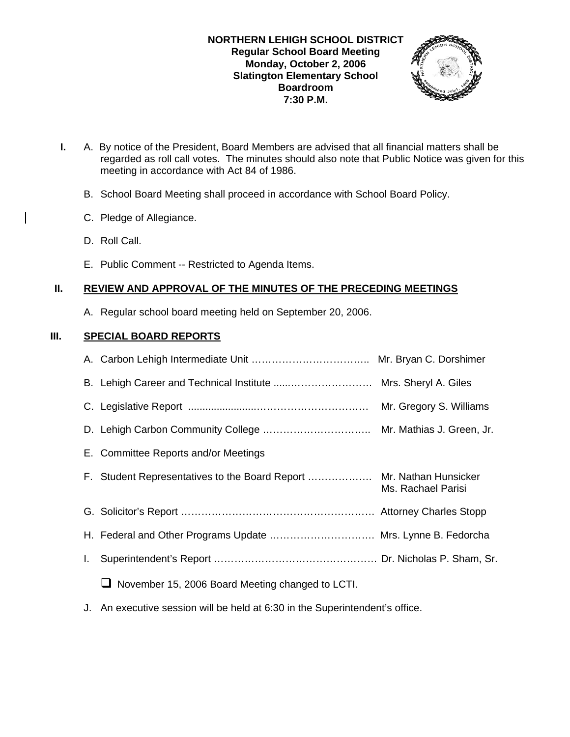

- **I.** A. By notice of the President, Board Members are advised that all financial matters shall be regarded as roll call votes. The minutes should also note that Public Notice was given for this meeting in accordance with Act 84 of 1986.
	- B. School Board Meeting shall proceed in accordance with School Board Policy.
	- C. Pledge of Allegiance.
	- D. Roll Call.
	- E. Public Comment -- Restricted to Agenda Items.

# **II. REVIEW AND APPROVAL OF THE MINUTES OF THE PRECEDING MEETINGS**

A. Regular school board meeting held on September 20, 2006.

# **III. SPECIAL BOARD REPORTS**

|    |                                                                      | Mr. Gregory S. Williams |
|----|----------------------------------------------------------------------|-------------------------|
|    |                                                                      |                         |
|    | E. Committee Reports and/or Meetings                                 |                         |
|    | F. Student Representatives to the Board Report  Mr. Nathan Hunsicker | Ms. Rachael Parisi      |
|    |                                                                      |                         |
|    | H. Federal and Other Programs Update  Mrs. Lynne B. Fedorcha         |                         |
| I. |                                                                      |                         |
|    | November 15, 2006 Board Meeting changed to LCTI.<br>⊔                |                         |
|    |                                                                      |                         |

J. An executive session will be held at 6:30 in the Superintendent's office.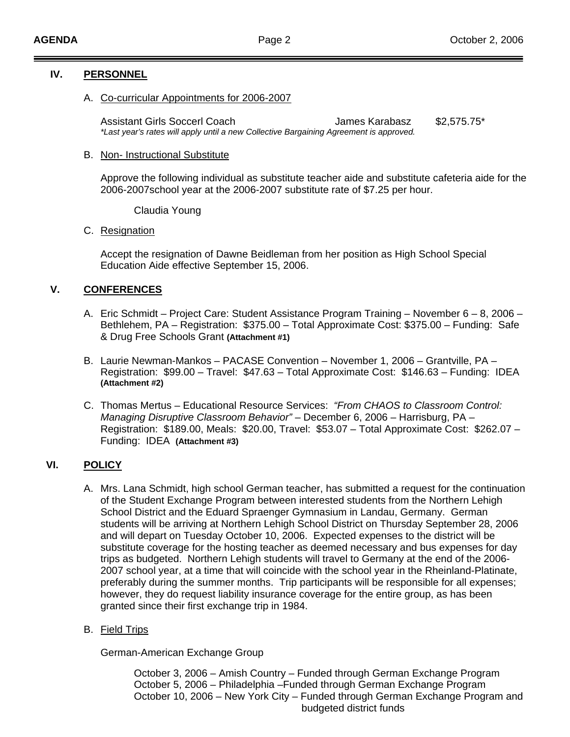### **IV. PERSONNEL**

A. Co-curricular Appointments for 2006-2007

Assistant Girls Soccerl Coach Girls James Karabasz \$2,575.75\* *\*Last year's rates will apply until a new Collective Bargaining Agreement is approved.*

#### B. Non- Instructional Substitute

Approve the following individual as substitute teacher aide and substitute cafeteria aide for the 2006-2007school year at the 2006-2007 substitute rate of \$7.25 per hour.

Claudia Young

### C. Resignation

 Accept the resignation of Dawne Beidleman from her position as High School Special Education Aide effective September 15, 2006.

# **V. CONFERENCES**

- A. Eric Schmidt Project Care: Student Assistance Program Training November 6 8, 2006 Bethlehem, PA – Registration: \$375.00 – Total Approximate Cost: \$375.00 – Funding: Safe & Drug Free Schools Grant **(Attachment #1)**
- B. Laurie Newman-Mankos PACASE Convention November 1, 2006 Grantville, PA Registration: \$99.00 – Travel: \$47.63 – Total Approximate Cost: \$146.63 – Funding: IDEA **(Attachment #2)**
- C. Thomas Mertus Educational Resource Services: *"From CHAOS to Classroom Control: Managing Disruptive Classroom Behavior"* – December 6, 2006 – Harrisburg, PA – Registration: \$189.00, Meals: \$20.00, Travel: \$53.07 – Total Approximate Cost: \$262.07 – Funding: IDEA **(Attachment #3)**

# **VI. POLICY**

- A. Mrs. Lana Schmidt, high school German teacher, has submitted a request for the continuation of the Student Exchange Program between interested students from the Northern Lehigh School District and the Eduard Spraenger Gymnasium in Landau, Germany. German students will be arriving at Northern Lehigh School District on Thursday September 28, 2006 and will depart on Tuesday October 10, 2006. Expected expenses to the district will be substitute coverage for the hosting teacher as deemed necessary and bus expenses for day trips as budgeted. Northern Lehigh students will travel to Germany at the end of the 2006- 2007 school year, at a time that will coincide with the school year in the Rheinland-Platinate, preferably during the summer months. Trip participants will be responsible for all expenses; however, they do request liability insurance coverage for the entire group, as has been granted since their first exchange trip in 1984.
- B. Field Trips

German-American Exchange Group

 October 3, 2006 – Amish Country – Funded through German Exchange Program October 5, 2006 – Philadelphia –Funded through German Exchange Program October 10, 2006 – New York City – Funded through German Exchange Program and budgeted district funds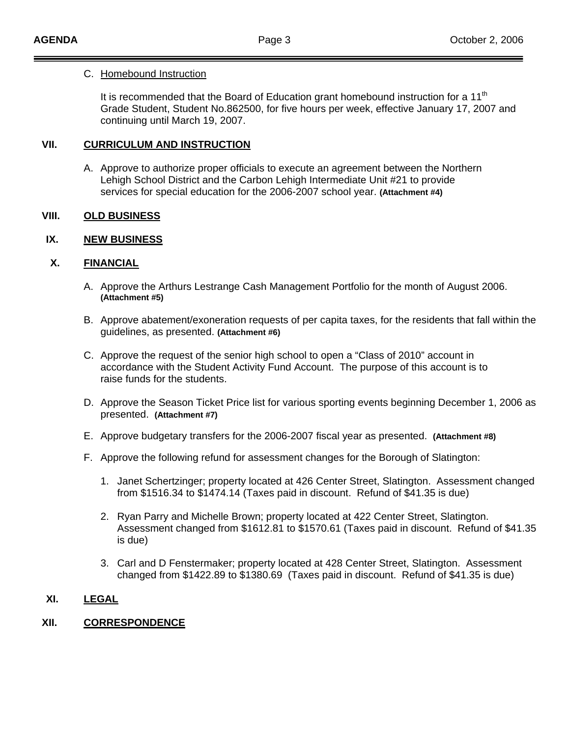#### C. Homebound Instruction

It is recommended that the Board of Education grant homebound instruction for a 11<sup>th</sup> Grade Student, Student No.862500, for five hours per week, effective January 17, 2007 and continuing until March 19, 2007.

# **VII. CURRICULUM AND INSTRUCTION**

A. Approve to authorize proper officials to execute an agreement between the Northern Lehigh School District and the Carbon Lehigh Intermediate Unit #21 to provide services for special education for the 2006-2007 school year. **(Attachment #4)**

### **VIII. OLD BUSINESS**

### **IX. NEW BUSINESS**

### **X. FINANCIAL**

- A. Approve the Arthurs Lestrange Cash Management Portfolio for the month of August 2006. **(Attachment #5)**
- B. Approve abatement/exoneration requests of per capita taxes, for the residents that fall within the guidelines, as presented. **(Attachment #6)**
- C. Approve the request of the senior high school to open a "Class of 2010" account in accordance with the Student Activity Fund Account. The purpose of this account is to raise funds for the students.
- D. Approve the Season Ticket Price list for various sporting events beginning December 1, 2006 as presented. **(Attachment #7)**
- E. Approve budgetary transfers for the 2006-2007 fiscal year as presented. **(Attachment #8)**
- F. Approve the following refund for assessment changes for the Borough of Slatington:
	- 1. Janet Schertzinger; property located at 426 Center Street, Slatington. Assessment changed from \$1516.34 to \$1474.14 (Taxes paid in discount. Refund of \$41.35 is due)
	- 2. Ryan Parry and Michelle Brown; property located at 422 Center Street, Slatington. Assessment changed from \$1612.81 to \$1570.61 (Taxes paid in discount. Refund of \$41.35 is due)
	- 3. Carl and D Fenstermaker; property located at 428 Center Street, Slatington. Assessment changed from \$1422.89 to \$1380.69 (Taxes paid in discount. Refund of \$41.35 is due)

# **XI. LEGAL**

# **XII. CORRESPONDENCE**